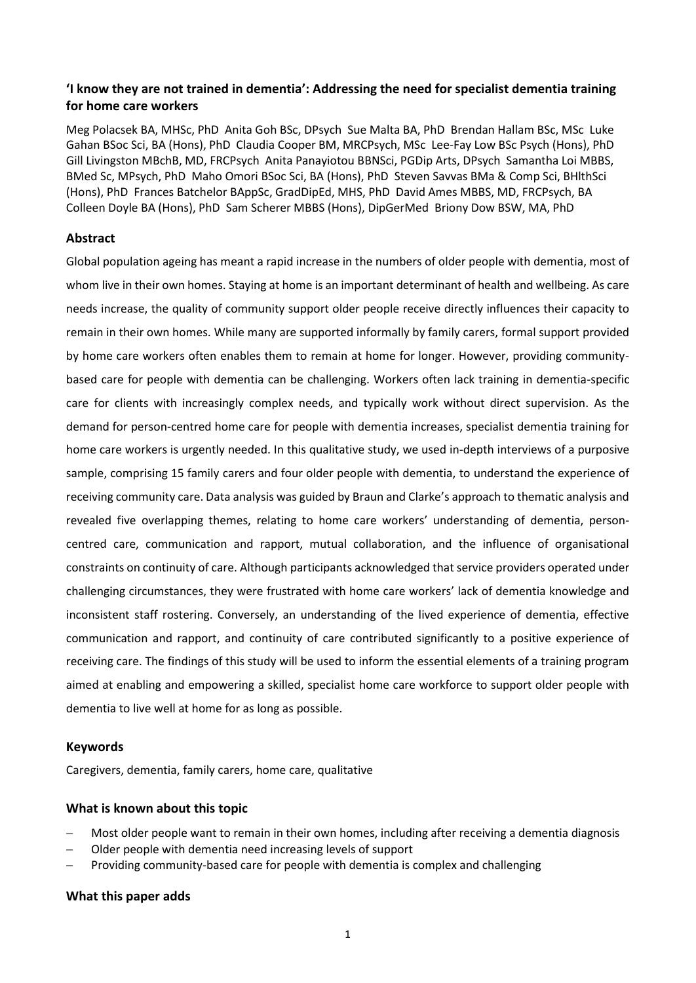# **'I know they are not trained in dementia': Addressing the need for specialist dementia training for home care workers**

Meg Polacsek BA, MHSc, PhD Anita Goh BSc, DPsych Sue Malta BA, PhD Brendan Hallam BSc, MSc Luke Gahan BSoc Sci, BA (Hons), PhD Claudia Cooper BM, MRCPsych, MSc Lee‐Fay Low BSc Psych (Hons), PhD Gill Livingston MBchB, MD, FRCPsych Anita Panayiotou BBNSci, PGDip Arts, DPsych Samantha Loi MBBS, BMed Sc, MPsych, PhD Maho Omori BSoc Sci, BA (Hons), PhD Steven Savvas BMa & Comp Sci, BHlthSci (Hons), PhD Frances Batchelor BAppSc, GradDipEd, MHS, PhD David Ames MBBS, MD, FRCPsych, BA Colleen Doyle BA (Hons), PhD Sam Scherer MBBS (Hons), DipGerMed Briony Dow BSW, MA, PhD

## **Abstract**

Global population ageing has meant a rapid increase in the numbers of older people with dementia, most of whom live in their own homes. Staying at home is an important determinant of health and wellbeing. As care needs increase, the quality of community support older people receive directly influences their capacity to remain in their own homes. While many are supported informally by family carers, formal support provided by home care workers often enables them to remain at home for longer. However, providing communitybased care for people with dementia can be challenging. Workers often lack training in dementia-specific care for clients with increasingly complex needs, and typically work without direct supervision. As the demand for person-centred home care for people with dementia increases, specialist dementia training for home care workers is urgently needed. In this qualitative study, we used in-depth interviews of a purposive sample, comprising 15 family carers and four older people with dementia, to understand the experience of receiving community care. Data analysis was guided by Braun and Clarke's approach to thematic analysis and revealed five overlapping themes, relating to home care workers' understanding of dementia, personcentred care, communication and rapport, mutual collaboration, and the influence of organisational constraints on continuity of care. Although participants acknowledged that service providers operated under challenging circumstances, they were frustrated with home care workers' lack of dementia knowledge and inconsistent staff rostering. Conversely, an understanding of the lived experience of dementia, effective communication and rapport, and continuity of care contributed significantly to a positive experience of receiving care. The findings of this study will be used to inform the essential elements of a training program aimed at enabling and empowering a skilled, specialist home care workforce to support older people with dementia to live well at home for as long as possible.

## **Keywords**

Caregivers, dementia, family carers, home care, qualitative

# **What is known about this topic**

- Most older people want to remain in their own homes, including after receiving a dementia diagnosis
- Older people with dementia need increasing levels of support
- Providing community-based care for people with dementia is complex and challenging

# **What this paper adds**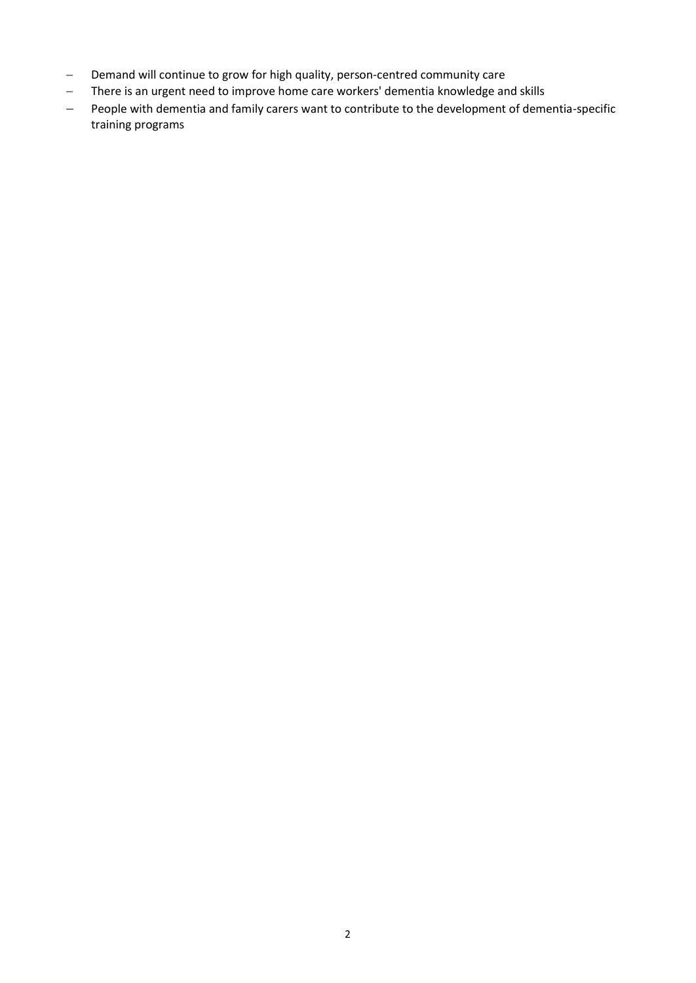- Demand will continue to grow for high quality, person-centred community care
- There is an urgent need to improve home care workers' dementia knowledge and skills
- People with dementia and family carers want to contribute to the development of dementia-specific training programs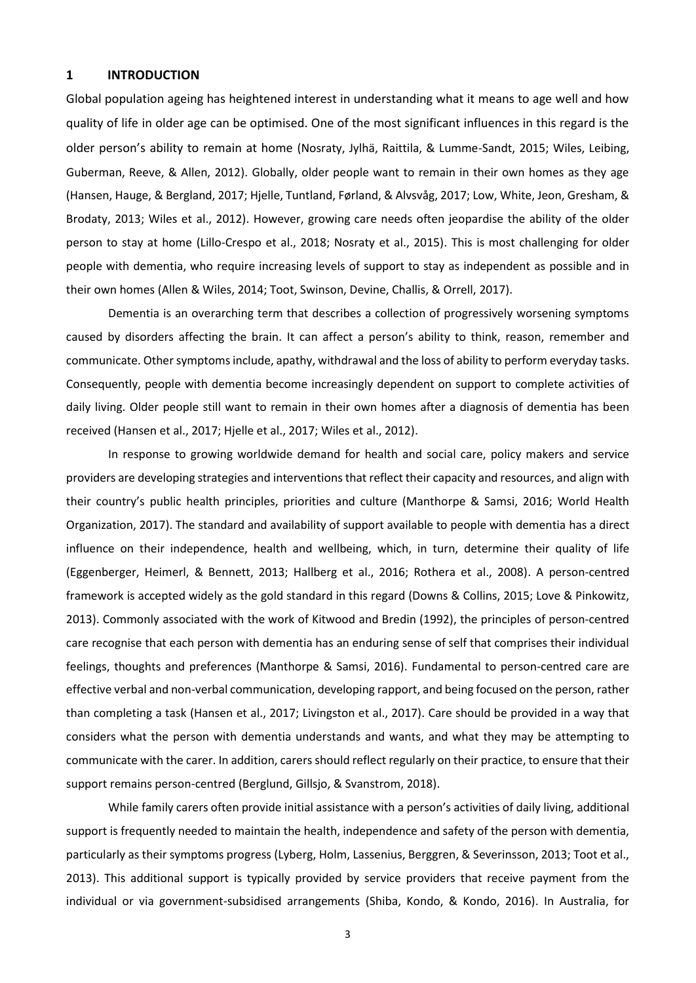#### **1 INTRODUCTION**

Global population ageing has heightened interest in understanding what it means to age well and how quality of life in older age can be optimised. One of the most significant influences in this regard is the older person's ability to remain at home (Nosraty, Jylhä, Raittila, & Lumme-Sandt, 2015; Wiles, Leibing, Guberman, Reeve, & Allen, 2012). Globally, older people want to remain in their own homes as they age (Hansen, Hauge, & Bergland, 2017; Hjelle, Tuntland, Førland, & Alvsvåg, 2017; Low, White, Jeon, Gresham, & Brodaty, 2013; Wiles et al., 2012). However, growing care needs often jeopardise the ability of the older person to stay at home (Lillo-Crespo et al., 2018; Nosraty et al., 2015). This is most challenging for older people with dementia, who require increasing levels of support to stay as independent as possible and in their own homes (Allen & Wiles, 2014; Toot, Swinson, Devine, Challis, & Orrell, 2017).

Dementia is an overarching term that describes a collection of progressively worsening symptoms caused by disorders affecting the brain. It can affect a person's ability to think, reason, remember and communicate. Other symptoms include, apathy, withdrawal and the loss of ability to perform everyday tasks. Consequently, people with dementia become increasingly dependent on support to complete activities of daily living. Older people still want to remain in their own homes after a diagnosis of dementia has been received (Hansen et al., 2017; Hjelle et al., 2017; Wiles et al., 2012).

In response to growing worldwide demand for health and social care, policy makers and service providers are developing strategies and interventions that reflect their capacity and resources, and align with their country's public health principles, priorities and culture (Manthorpe & Samsi, 2016; World Health Organization, 2017). The standard and availability of support available to people with dementia has a direct influence on their independence, health and wellbeing, which, in turn, determine their quality of life (Eggenberger, Heimerl, & Bennett, 2013; Hallberg et al., 2016; Rothera et al., 2008). A person-centred framework is accepted widely as the gold standard in this regard (Downs & Collins, 2015; Love & Pinkowitz, 2013). Commonly associated with the work of Kitwood and Bredin (1992), the principles of person-centred care recognise that each person with dementia has an enduring sense of self that comprises their individual feelings, thoughts and preferences (Manthorpe & Samsi, 2016). Fundamental to person-centred care are effective verbal and non-verbal communication, developing rapport, and being focused on the person, rather than completing a task (Hansen et al., 2017; Livingston et al., 2017). Care should be provided in a way that considers what the person with dementia understands and wants, and what they may be attempting to communicate with the carer. In addition, carers should reflect regularly on their practice, to ensure that their support remains person-centred (Berglund, Gillsjo, & Svanstrom, 2018).

While family carers often provide initial assistance with a person's activities of daily living, additional support is frequently needed to maintain the health, independence and safety of the person with dementia, particularly as their symptoms progress (Lyberg, Holm, Lassenius, Berggren, & Severinsson, 2013; Toot et al., 2013). This additional support is typically provided by service providers that receive payment from the individual or via government-subsidised arrangements (Shiba, Kondo, & Kondo, 2016). In Australia, for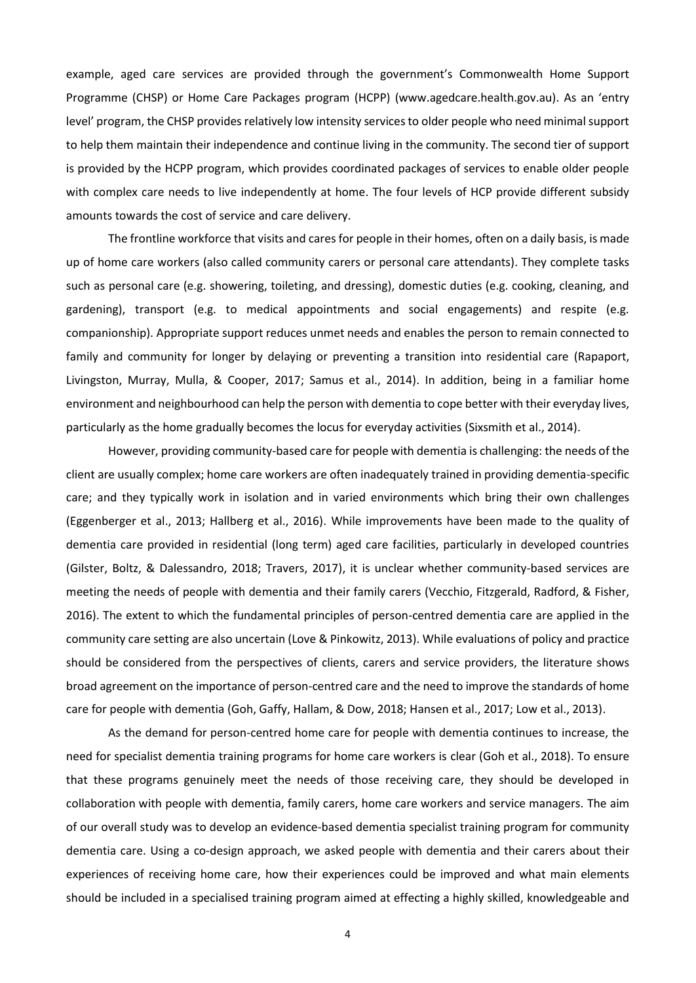example, aged care services are provided through the government's Commonwealth Home Support Programme (CHSP) or Home Care Packages program (HCPP) (www.agedcare.health.gov.au). As an 'entry level' program, the CHSP provides relatively low intensity services to older people who need minimal support to help them maintain their independence and continue living in the community. The second tier of support is provided by the HCPP program, which provides coordinated packages of services to enable older people with complex care needs to live independently at home. The four levels of HCP provide different subsidy amounts towards the cost of service and care delivery.

The frontline workforce that visits and cares for people in their homes, often on a daily basis, is made up of home care workers (also called community carers or personal care attendants). They complete tasks such as personal care (e.g. showering, toileting, and dressing), domestic duties (e.g. cooking, cleaning, and gardening), transport (e.g. to medical appointments and social engagements) and respite (e.g. companionship). Appropriate support reduces unmet needs and enables the person to remain connected to family and community for longer by delaying or preventing a transition into residential care (Rapaport, Livingston, Murray, Mulla, & Cooper, 2017; Samus et al., 2014). In addition, being in a familiar home environment and neighbourhood can help the person with dementia to cope better with their everyday lives, particularly as the home gradually becomes the locus for everyday activities (Sixsmith et al., 2014).

However, providing community-based care for people with dementia is challenging: the needs of the client are usually complex; home care workers are often inadequately trained in providing dementia-specific care; and they typically work in isolation and in varied environments which bring their own challenges (Eggenberger et al., 2013; Hallberg et al., 2016). While improvements have been made to the quality of dementia care provided in residential (long term) aged care facilities, particularly in developed countries (Gilster, Boltz, & Dalessandro, 2018; Travers, 2017), it is unclear whether community-based services are meeting the needs of people with dementia and their family carers (Vecchio, Fitzgerald, Radford, & Fisher, 2016). The extent to which the fundamental principles of person-centred dementia care are applied in the community care setting are also uncertain (Love & Pinkowitz, 2013). While evaluations of policy and practice should be considered from the perspectives of clients, carers and service providers, the literature shows broad agreement on the importance of person-centred care and the need to improve the standards of home care for people with dementia (Goh, Gaffy, Hallam, & Dow, 2018; Hansen et al., 2017; Low et al., 2013).

As the demand for person-centred home care for people with dementia continues to increase, the need for specialist dementia training programs for home care workers is clear (Goh et al., 2018). To ensure that these programs genuinely meet the needs of those receiving care, they should be developed in collaboration with people with dementia, family carers, home care workers and service managers. The aim of our overall study was to develop an evidence-based dementia specialist training program for community dementia care. Using a co-design approach, we asked people with dementia and their carers about their experiences of receiving home care, how their experiences could be improved and what main elements should be included in a specialised training program aimed at effecting a highly skilled, knowledgeable and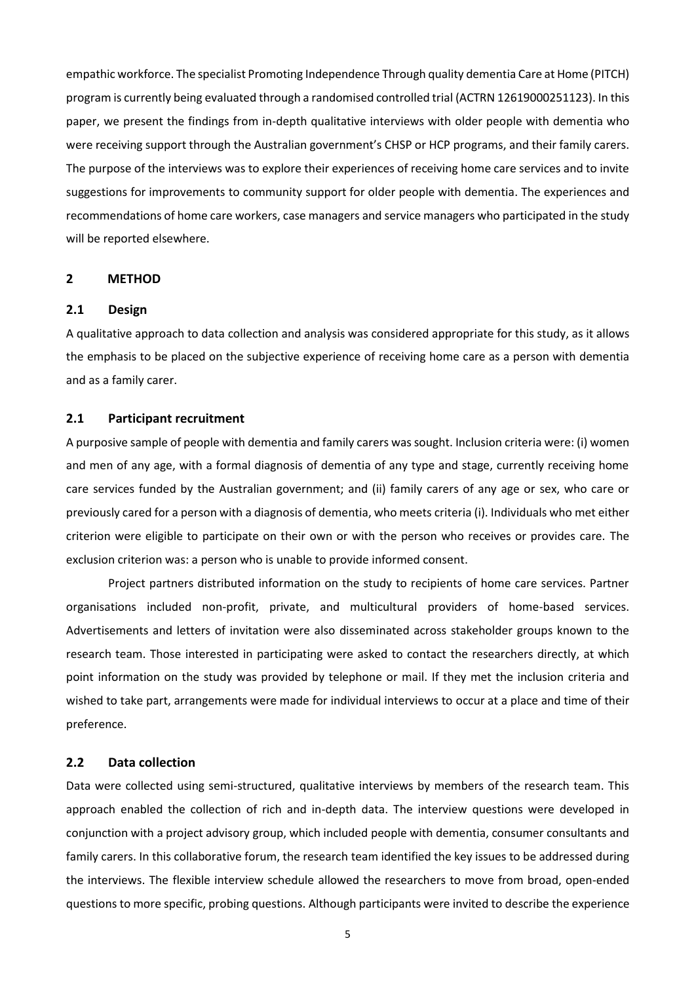empathic workforce. The specialist Promoting Independence Through quality dementia Care at Home (PITCH) program is currently being evaluated through a randomised controlled trial (ACTRN 12619000251123). In this paper, we present the findings from in-depth qualitative interviews with older people with dementia who were receiving support through the Australian government's CHSP or HCP programs, and their family carers. The purpose of the interviews was to explore their experiences of receiving home care services and to invite suggestions for improvements to community support for older people with dementia. The experiences and recommendations of home care workers, case managers and service managers who participated in the study will be reported elsewhere.

#### **2 METHOD**

#### **2.1 Design**

A qualitative approach to data collection and analysis was considered appropriate for this study, as it allows the emphasis to be placed on the subjective experience of receiving home care as a person with dementia and as a family carer.

#### **2.1 Participant recruitment**

A purposive sample of people with dementia and family carers was sought. Inclusion criteria were: (i) women and men of any age, with a formal diagnosis of dementia of any type and stage, currently receiving home care services funded by the Australian government; and (ii) family carers of any age or sex, who care or previously cared for a person with a diagnosis of dementia, who meets criteria (i). Individuals who met either criterion were eligible to participate on their own or with the person who receives or provides care. The exclusion criterion was: a person who is unable to provide informed consent.

Project partners distributed information on the study to recipients of home care services. Partner organisations included non-profit, private, and multicultural providers of home-based services. Advertisements and letters of invitation were also disseminated across stakeholder groups known to the research team. Those interested in participating were asked to contact the researchers directly, at which point information on the study was provided by telephone or mail. If they met the inclusion criteria and wished to take part, arrangements were made for individual interviews to occur at a place and time of their preference.

### **2.2 Data collection**

Data were collected using semi-structured, qualitative interviews by members of the research team. This approach enabled the collection of rich and in-depth data. The interview questions were developed in conjunction with a project advisory group, which included people with dementia, consumer consultants and family carers. In this collaborative forum, the research team identified the key issues to be addressed during the interviews. The flexible interview schedule allowed the researchers to move from broad, open-ended questions to more specific, probing questions. Although participants were invited to describe the experience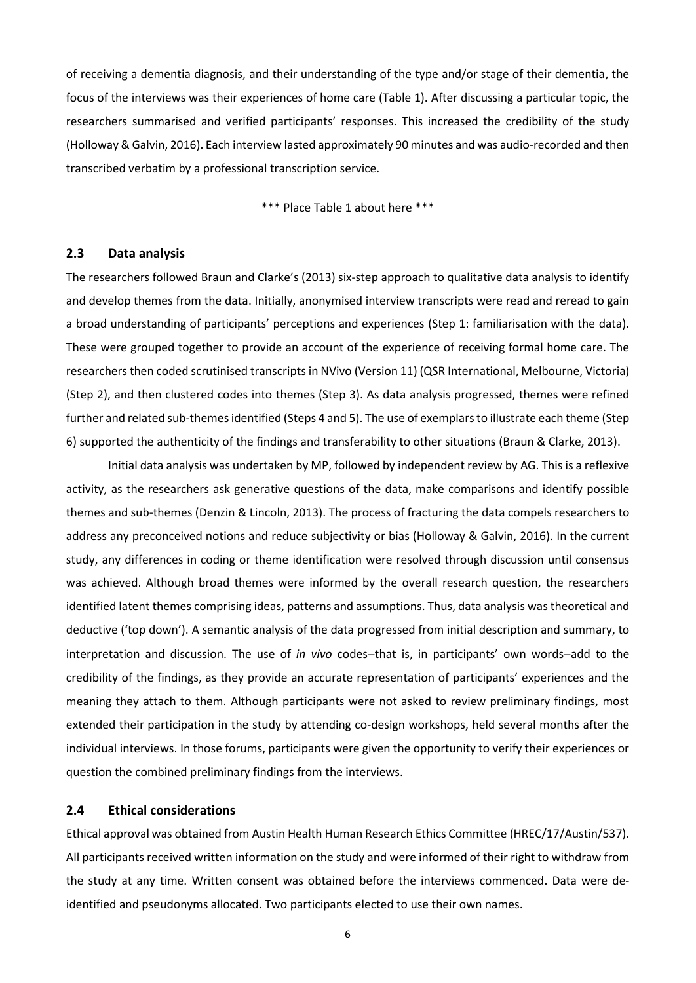of receiving a dementia diagnosis, and their understanding of the type and/or stage of their dementia, the focus of the interviews was their experiences of home care (Table 1). After discussing a particular topic, the researchers summarised and verified participants' responses. This increased the credibility of the study (Holloway & Galvin, 2016). Each interview lasted approximately 90 minutes and was audio-recorded and then transcribed verbatim by a professional transcription service.

\*\*\* Place Table 1 about here \*\*\*

## **2.3 Data analysis**

The researchers followed Braun and Clarke's (2013) six-step approach to qualitative data analysis to identify and develop themes from the data. Initially, anonymised interview transcripts were read and reread to gain a broad understanding of participants' perceptions and experiences (Step 1: familiarisation with the data). These were grouped together to provide an account of the experience of receiving formal home care. The researchers then coded scrutinised transcripts in NVivo (Version 11) (QSR International, Melbourne, Victoria) (Step 2), and then clustered codes into themes (Step 3). As data analysis progressed, themes were refined further and related sub-themes identified (Steps 4 and 5). The use of exemplars to illustrate each theme (Step 6) supported the authenticity of the findings and transferability to other situations (Braun & Clarke, 2013).

Initial data analysis was undertaken by MP, followed by independent review by AG. This is a reflexive activity, as the researchers ask generative questions of the data, make comparisons and identify possible themes and sub-themes (Denzin & Lincoln, 2013). The process of fracturing the data compels researchers to address any preconceived notions and reduce subjectivity or bias (Holloway & Galvin, 2016). In the current study, any differences in coding or theme identification were resolved through discussion until consensus was achieved. Although broad themes were informed by the overall research question, the researchers identified latent themes comprising ideas, patterns and assumptions. Thus, data analysis was theoretical and deductive ('top down'). A semantic analysis of the data progressed from initial description and summary, to interpretation and discussion. The use of *in vivo* codes-that is, in participants' own words-add to the credibility of the findings, as they provide an accurate representation of participants' experiences and the meaning they attach to them. Although participants were not asked to review preliminary findings, most extended their participation in the study by attending co-design workshops, held several months after the individual interviews. In those forums, participants were given the opportunity to verify their experiences or question the combined preliminary findings from the interviews.

### **2.4 Ethical considerations**

Ethical approval was obtained from Austin Health Human Research Ethics Committee (HREC/17/Austin/537). All participants received written information on the study and were informed of their right to withdraw from the study at any time. Written consent was obtained before the interviews commenced. Data were deidentified and pseudonyms allocated. Two participants elected to use their own names.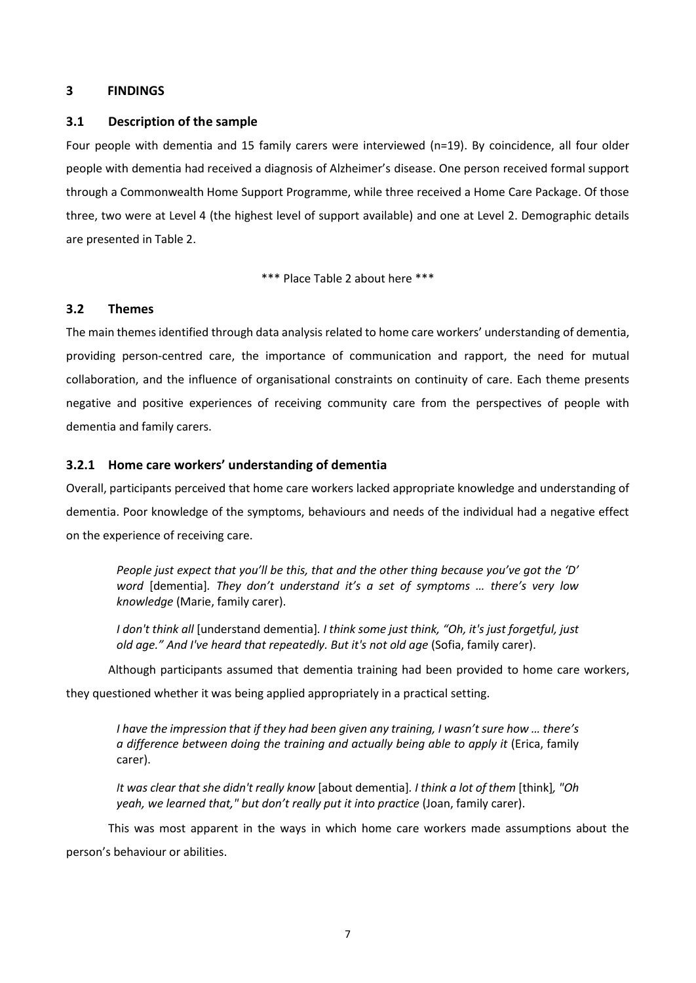## **3 FINDINGS**

### **3.1 Description of the sample**

Four people with dementia and 15 family carers were interviewed (n=19). By coincidence, all four older people with dementia had received a diagnosis of Alzheimer's disease. One person received formal support through a Commonwealth Home Support Programme, while three received a Home Care Package. Of those three, two were at Level 4 (the highest level of support available) and one at Level 2. Demographic details are presented in Table 2.

\*\*\* Place Table 2 about here \*\*\*

### **3.2 Themes**

The main themes identified through data analysis related to home care workers' understanding of dementia, providing person-centred care, the importance of communication and rapport, the need for mutual collaboration, and the influence of organisational constraints on continuity of care. Each theme presents negative and positive experiences of receiving community care from the perspectives of people with dementia and family carers.

## **3.2.1 Home care workers' understanding of dementia**

Overall, participants perceived that home care workers lacked appropriate knowledge and understanding of dementia. Poor knowledge of the symptoms, behaviours and needs of the individual had a negative effect on the experience of receiving care.

*People just expect that you'll be this, that and the other thing because you've got the 'D' word* [dementia]*. They don't understand it's a set of symptoms … there's very low knowledge* (Marie, family carer).

*I don't think all* [understand dementia]*. I think some just think, "Oh, it's just forgetful, just old age." And I've heard that repeatedly. But it's not old age* (Sofia, family carer).

Although participants assumed that dementia training had been provided to home care workers,

they questioned whether it was being applied appropriately in a practical setting.

*I have the impression that if they had been given any training, I wasn't sure how … there's a difference between doing the training and actually being able to apply it (Erica, family* carer).

*It was clear that she didn't really know* [about dementia]*. I think a lot of them* [think]*, "Oh yeah, we learned that," but don't really put it into practice* (Joan, family carer).

This was most apparent in the ways in which home care workers made assumptions about the person's behaviour or abilities.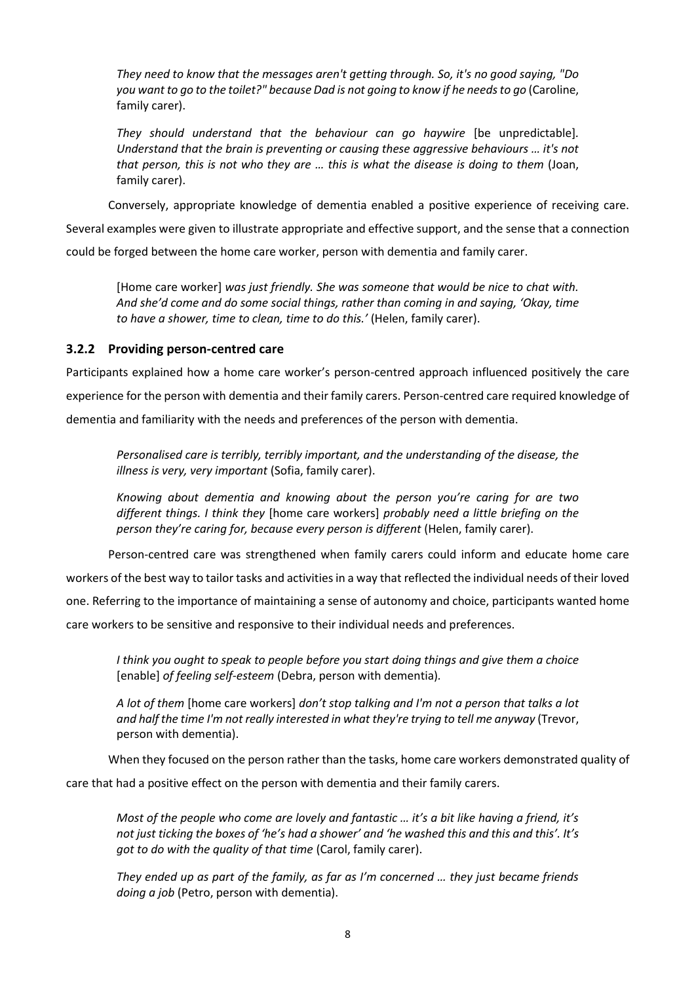*They need to know that the messages aren't getting through. So, it's no good saying, "Do you want to go to the toilet?" because Dad is not going to know if he needs to go* (Caroline, family carer).

*They should understand that the behaviour can go haywire* [be unpredictable]*. Understand that the brain is preventing or causing these aggressive behaviours … it's not that person, this is not who they are … this is what the disease is doing to them* (Joan, family carer).

Conversely, appropriate knowledge of dementia enabled a positive experience of receiving care.

Several examples were given to illustrate appropriate and effective support, and the sense that a connection could be forged between the home care worker, person with dementia and family carer.

[Home care worker] *was just friendly. She was someone that would be nice to chat with. And she'd come and do some social things, rather than coming in and saying, 'Okay, time to have a shower, time to clean, time to do this.'* (Helen, family carer).

# **3.2.2 Providing person-centred care**

Participants explained how a home care worker's person-centred approach influenced positively the care experience for the person with dementia and their family carers. Person-centred care required knowledge of dementia and familiarity with the needs and preferences of the person with dementia.

*Personalised care is terribly, terribly important, and the understanding of the disease, the illness is very, very important* (Sofia, family carer).

*Knowing about dementia and knowing about the person you're caring for are two different things. I think they* [home care workers] *probably need a little briefing on the person they're caring for, because every person is different* (Helen, family carer).

Person-centred care was strengthened when family carers could inform and educate home care

workers of the best way to tailor tasks and activities in a way that reflected the individual needs of their loved

one. Referring to the importance of maintaining a sense of autonomy and choice, participants wanted home

care workers to be sensitive and responsive to their individual needs and preferences.

*I think you ought to speak to people before you start doing things and give them a choice*  [enable] *of feeling self-esteem* (Debra, person with dementia)*.*

*A lot of them* [home care workers] *don't stop talking and I'm not a person that talks a lot and half the time I'm not really interested in what they're trying to tell me anyway* (Trevor, person with dementia).

When they focused on the person rather than the tasks, home care workers demonstrated quality of

care that had a positive effect on the person with dementia and their family carers.

*Most of the people who come are lovely and fantastic … it's a bit like having a friend, it's not just ticking the boxes of 'he's had a shower' and 'he washed this and this and this'. It's got to do with the quality of that time* (Carol, family carer).

*They ended up as part of the family, as far as I'm concerned … they just became friends doing a job* (Petro, person with dementia).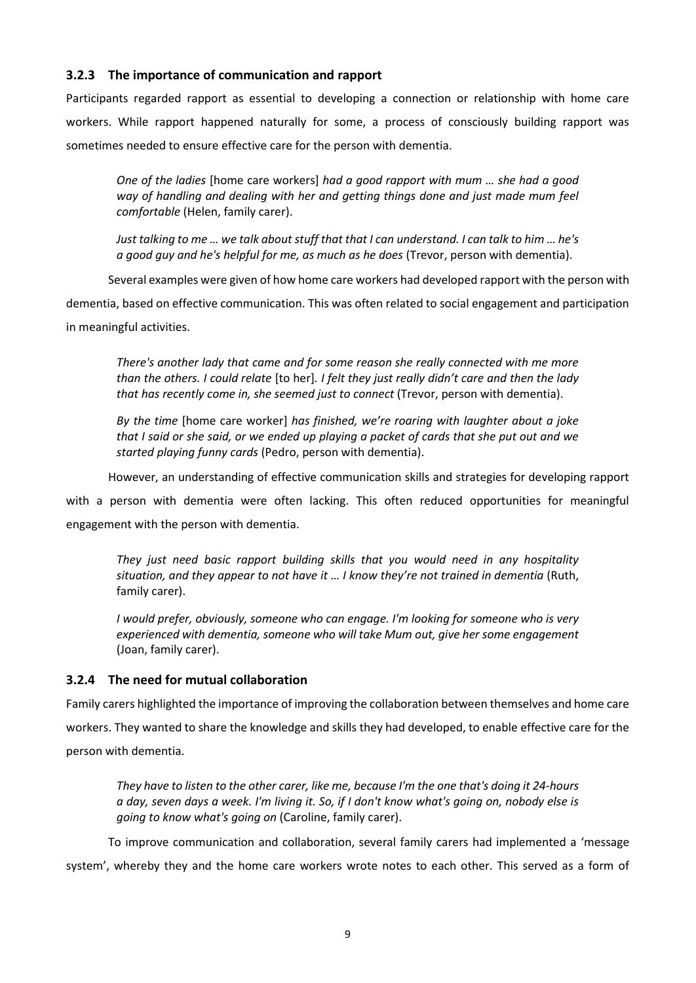# **3.2.3 The importance of communication and rapport**

Participants regarded rapport as essential to developing a connection or relationship with home care workers. While rapport happened naturally for some, a process of consciously building rapport was sometimes needed to ensure effective care for the person with dementia.

*One of the ladies* [home care workers] *had a good rapport with mum … she had a good way of handling and dealing with her and getting things done and just made mum feel comfortable* (Helen, family carer).

*Just talking to me … we talk about stuff that that I can understand. I can talk to him … he's a good guy and he's helpful for me, as much as he does* (Trevor, person with dementia).

Several examples were given of how home care workers had developed rapport with the person with

dementia, based on effective communication. This was often related to social engagement and participation in meaningful activities.

*There's another lady that came and for some reason she really connected with me more than the others. I could relate* [to her]*. I felt they just really didn't care and then the lady that has recently come in, she seemed just to connect* (Trevor, person with dementia).

*By the time* [home care worker] *has finished, we're roaring with laughter about a joke that I said or she said, or we ended up playing a packet of cards that she put out and we started playing funny cards* (Pedro, person with dementia).

However, an understanding of effective communication skills and strategies for developing rapport

with a person with dementia were often lacking. This often reduced opportunities for meaningful engagement with the person with dementia.

*They just need basic rapport building skills that you would need in any hospitality situation, and they appear to not have it … I know they're not trained in dementia* (Ruth, family carer).

*I would prefer, obviously, someone who can engage. I'm looking for someone who is very experienced with dementia, someone who will take Mum out, give her some engagement*  (Joan, family carer).

# **3.2.4 The need for mutual collaboration**

Family carers highlighted the importance of improving the collaboration between themselves and home care workers. They wanted to share the knowledge and skills they had developed, to enable effective care for the person with dementia.

*They have to listen to the other carer, like me, because I'm the one that's doing it 24-hours a day, seven days a week. I'm living it. So, if I don't know what's going on, nobody else is going to know what's going on* (Caroline, family carer).

To improve communication and collaboration, several family carers had implemented a 'message

system', whereby they and the home care workers wrote notes to each other. This served as a form of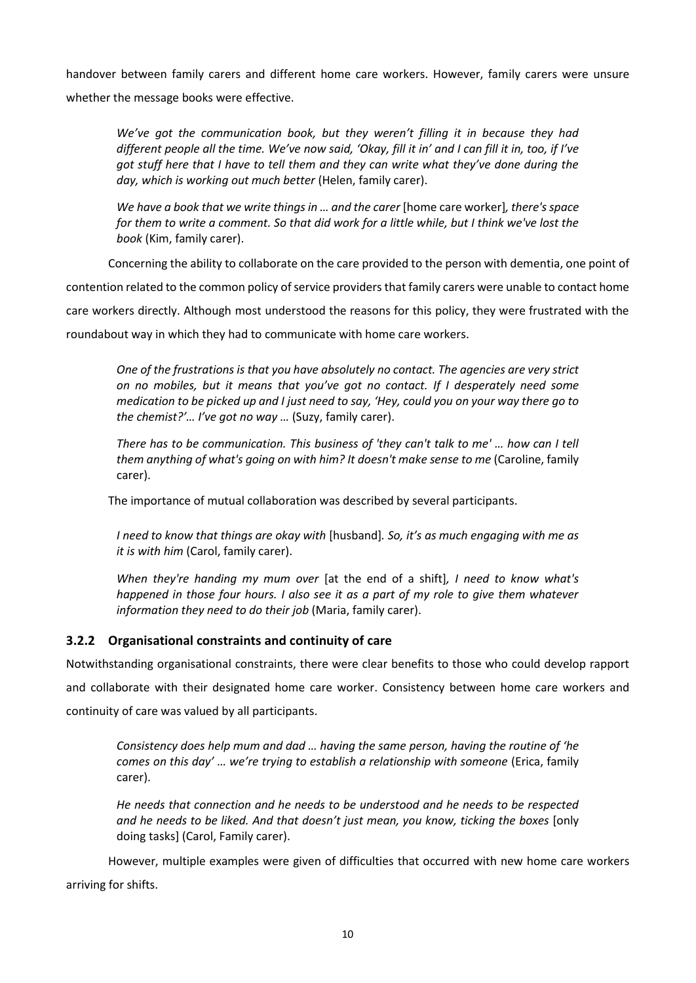handover between family carers and different home care workers. However, family carers were unsure whether the message books were effective.

*We've got the communication book, but they weren't filling it in because they had different people all the time. We've now said, 'Okay, fill it in' and I can fill it in, too, if I've got stuff here that I have to tell them and they can write what they've done during the day, which is working out much better* (Helen, family carer).

*We have a book that we write things in … and the carer* [home care worker]*, there's space for them to write a comment. So that did work for a little while, but I think we've lost the book* (Kim, family carer).

Concerning the ability to collaborate on the care provided to the person with dementia, one point of

contention related to the common policy of service providers that family carers were unable to contact home

care workers directly. Although most understood the reasons for this policy, they were frustrated with the

roundabout way in which they had to communicate with home care workers.

*One of the frustrations is that you have absolutely no contact. The agencies are very strict on no mobiles, but it means that you've got no contact. If I desperately need some medication to be picked up and I just need to say, 'Hey, could you on your way there go to the chemist?'… I've got no way …* (Suzy, family carer).

*There has to be communication. This business of 'they can't talk to me' … how can I tell them anything of what's going on with him? It doesn't make sense to me (Caroline, family* carer).

The importance of mutual collaboration was described by several participants.

*I need to know that things are okay with* [husband]*. So, it's as much engaging with me as it is with him* (Carol, family carer).

*When they're handing my mum over* [at the end of a shift]*, I need to know what's happened in those four hours. I also see it as a part of my role to give them whatever information they need to do their job* (Maria, family carer).

# **3.2.2 Organisational constraints and continuity of care**

Notwithstanding organisational constraints, there were clear benefits to those who could develop rapport and collaborate with their designated home care worker. Consistency between home care workers and continuity of care was valued by all participants.

*Consistency does help mum and dad … having the same person, having the routine of 'he comes on this day' … we're trying to establish a relationship with someone* (Erica, family carer).

*He needs that connection and he needs to be understood and he needs to be respected and he needs to be liked. And that doesn't just mean, you know, ticking the boxes* [only doing tasks] (Carol, Family carer).

However, multiple examples were given of difficulties that occurred with new home care workers arriving for shifts.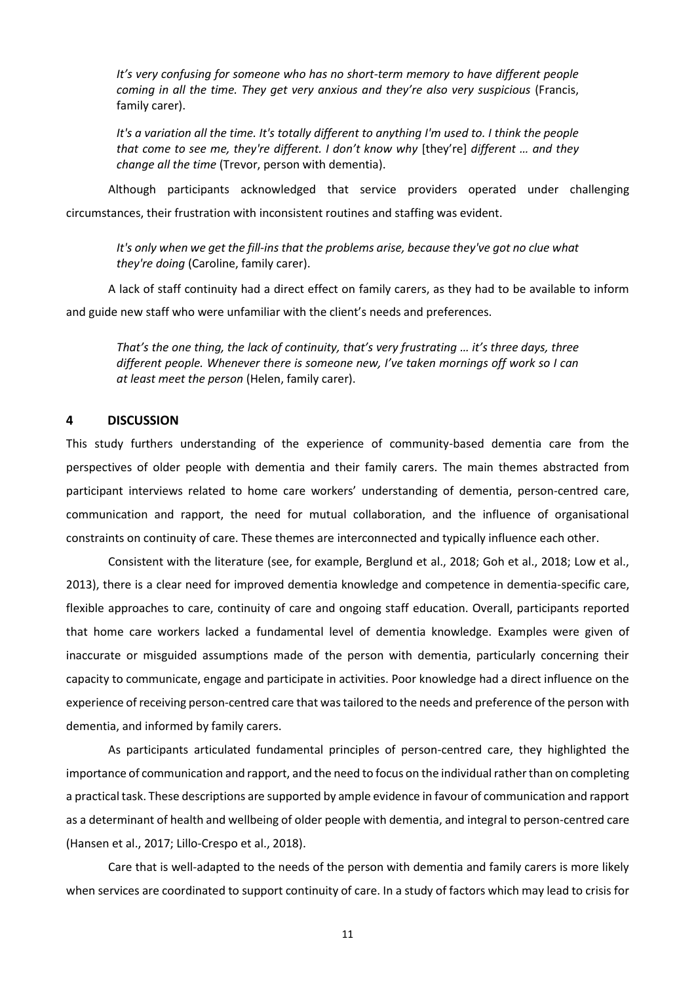*It's very confusing for someone who has no short-term memory to have different people coming in all the time. They get very anxious and they're also very suspicious* (Francis, family carer).

*It's a variation all the time. It's totally different to anything I'm used to. I think the people that come to see me, they're different. I don't know why* [they're] *different … and they change all the time* (Trevor, person with dementia).

Although participants acknowledged that service providers operated under challenging circumstances, their frustration with inconsistent routines and staffing was evident.

*It's only when we get the fill-ins that the problems arise, because they've got no clue what they're doing* (Caroline, family carer).

A lack of staff continuity had a direct effect on family carers, as they had to be available to inform and guide new staff who were unfamiliar with the client's needs and preferences.

*That's the one thing, the lack of continuity, that's very frustrating … it's three days, three different people. Whenever there is someone new, I've taken mornings off work so I can at least meet the person* (Helen, family carer).

#### **4 DISCUSSION**

This study furthers understanding of the experience of community-based dementia care from the perspectives of older people with dementia and their family carers. The main themes abstracted from participant interviews related to home care workers' understanding of dementia, person-centred care, communication and rapport, the need for mutual collaboration, and the influence of organisational constraints on continuity of care. These themes are interconnected and typically influence each other.

Consistent with the literature (see, for example, Berglund et al., 2018; Goh et al., 2018; Low et al., 2013), there is a clear need for improved dementia knowledge and competence in dementia-specific care, flexible approaches to care, continuity of care and ongoing staff education. Overall, participants reported that home care workers lacked a fundamental level of dementia knowledge. Examples were given of inaccurate or misguided assumptions made of the person with dementia, particularly concerning their capacity to communicate, engage and participate in activities. Poor knowledge had a direct influence on the experience of receiving person-centred care that was tailored to the needs and preference of the person with dementia, and informed by family carers.

As participants articulated fundamental principles of person-centred care, they highlighted the importance of communication and rapport, and the need to focus on the individual rather than on completing a practical task. These descriptions are supported by ample evidence in favour of communication and rapport as a determinant of health and wellbeing of older people with dementia, and integral to person-centred care (Hansen et al., 2017; Lillo-Crespo et al., 2018).

Care that is well-adapted to the needs of the person with dementia and family carers is more likely when services are coordinated to support continuity of care. In a study of factors which may lead to crisis for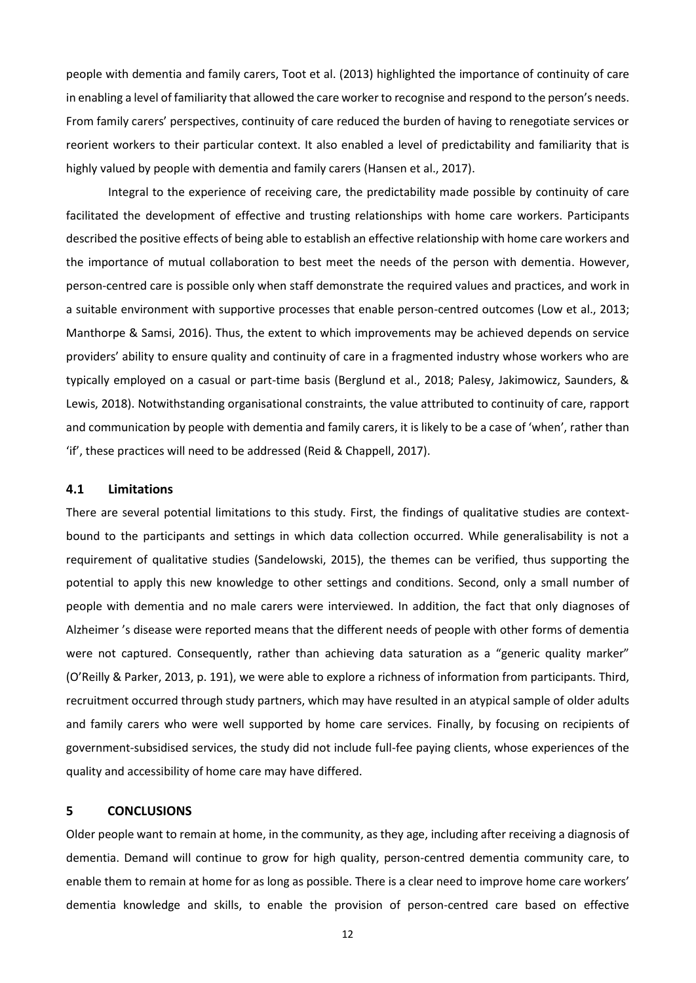people with dementia and family carers, Toot et al. (2013) highlighted the importance of continuity of care in enabling a level of familiarity that allowed the care worker to recognise and respond to the person's needs. From family carers' perspectives, continuity of care reduced the burden of having to renegotiate services or reorient workers to their particular context. It also enabled a level of predictability and familiarity that is highly valued by people with dementia and family carers (Hansen et al., 2017).

Integral to the experience of receiving care, the predictability made possible by continuity of care facilitated the development of effective and trusting relationships with home care workers. Participants described the positive effects of being able to establish an effective relationship with home care workers and the importance of mutual collaboration to best meet the needs of the person with dementia. However, person-centred care is possible only when staff demonstrate the required values and practices, and work in a suitable environment with supportive processes that enable person-centred outcomes (Low et al., 2013; Manthorpe & Samsi, 2016). Thus, the extent to which improvements may be achieved depends on service providers' ability to ensure quality and continuity of care in a fragmented industry whose workers who are typically employed on a casual or part-time basis (Berglund et al., 2018; Palesy, Jakimowicz, Saunders, & Lewis, 2018). Notwithstanding organisational constraints, the value attributed to continuity of care, rapport and communication by people with dementia and family carers, it is likely to be a case of 'when', rather than 'if', these practices will need to be addressed (Reid & Chappell, 2017).

#### **4.1 Limitations**

There are several potential limitations to this study. First, the findings of qualitative studies are contextbound to the participants and settings in which data collection occurred. While generalisability is not a requirement of qualitative studies (Sandelowski, 2015), the themes can be verified, thus supporting the potential to apply this new knowledge to other settings and conditions. Second, only a small number of people with dementia and no male carers were interviewed. In addition, the fact that only diagnoses of Alzheimer 's disease were reported means that the different needs of people with other forms of dementia were not captured. Consequently, rather than achieving data saturation as a "generic quality marker" (O'Reilly & Parker, 2013, p. 191), we were able to explore a richness of information from participants. Third, recruitment occurred through study partners, which may have resulted in an atypical sample of older adults and family carers who were well supported by home care services. Finally, by focusing on recipients of government-subsidised services, the study did not include full-fee paying clients, whose experiences of the quality and accessibility of home care may have differed.

### **5 CONCLUSIONS**

Older people want to remain at home, in the community, as they age, including after receiving a diagnosis of dementia. Demand will continue to grow for high quality, person-centred dementia community care, to enable them to remain at home for as long as possible. There is a clear need to improve home care workers' dementia knowledge and skills, to enable the provision of person-centred care based on effective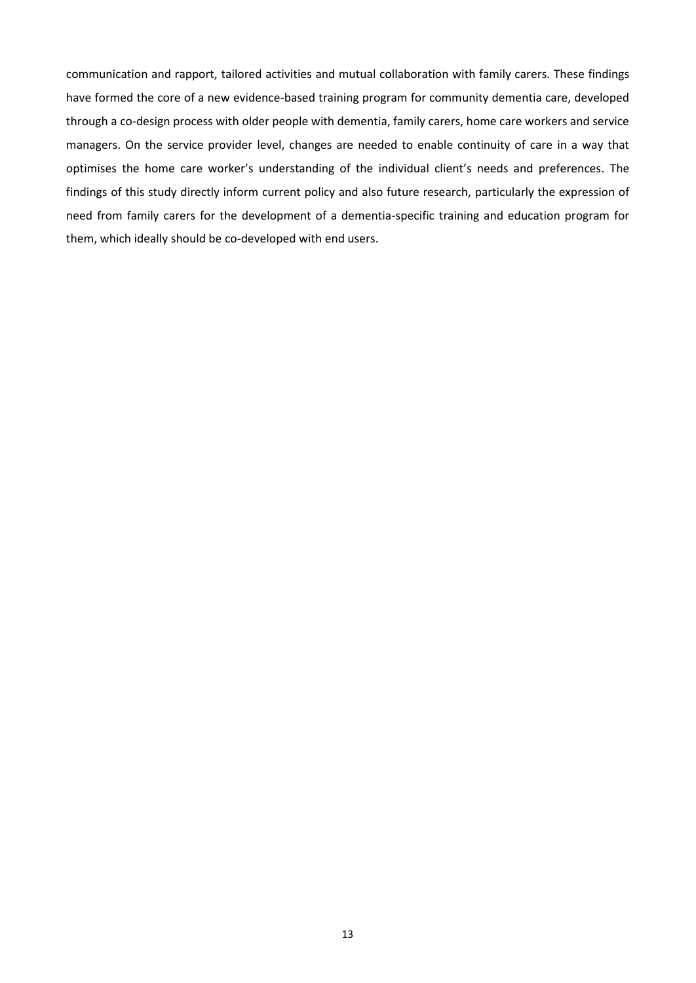communication and rapport, tailored activities and mutual collaboration with family carers. These findings have formed the core of a new evidence-based training program for community dementia care, developed through a co-design process with older people with dementia, family carers, home care workers and service managers. On the service provider level, changes are needed to enable continuity of care in a way that optimises the home care worker's understanding of the individual client's needs and preferences. The findings of this study directly inform current policy and also future research, particularly the expression of need from family carers for the development of a dementia-specific training and education program for them, which ideally should be co-developed with end users.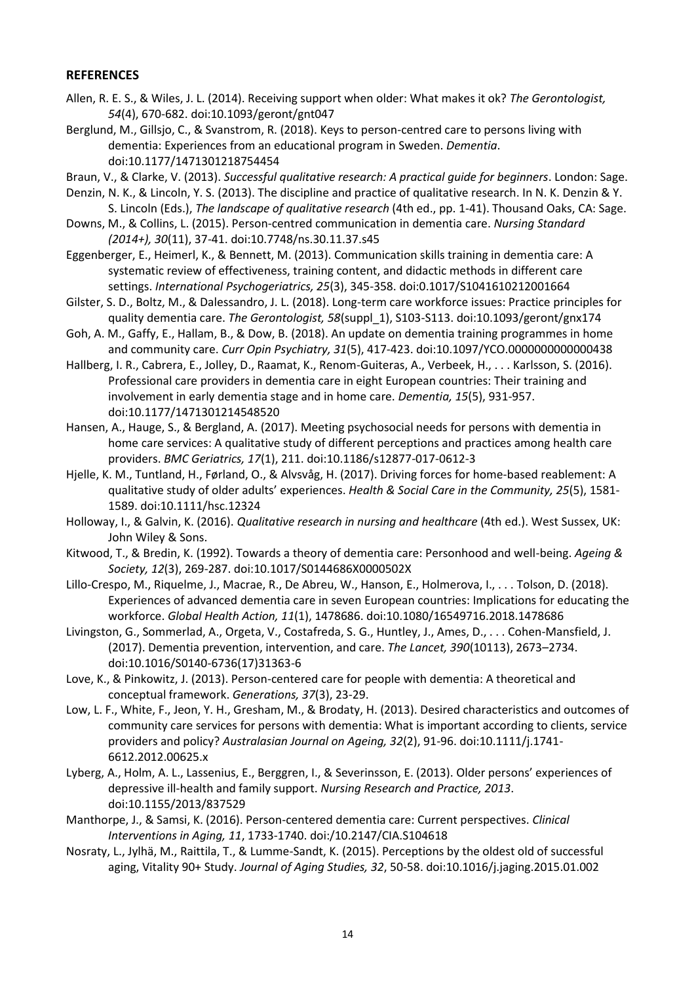## **REFERENCES**

- Allen, R. E. S., & Wiles, J. L. (2014). Receiving support when older: What makes it ok? *The Gerontologist, 54*(4), 670-682. doi:10.1093/geront/gnt047
- Berglund, M., Gillsjo, C., & Svanstrom, R. (2018). Keys to person-centred care to persons living with dementia: Experiences from an educational program in Sweden. *Dementia*. doi:10.1177/1471301218754454
- Braun, V., & Clarke, V. (2013). *Successful qualitative research: A practical guide for beginners*. London: Sage.
- Denzin, N. K., & Lincoln, Y. S. (2013). The discipline and practice of qualitative research. In N. K. Denzin & Y. S. Lincoln (Eds.), *The landscape of qualitative research* (4th ed., pp. 1-41). Thousand Oaks, CA: Sage.
- Downs, M., & Collins, L. (2015). Person-centred communication in dementia care. *Nursing Standard (2014+), 30*(11), 37-41. doi:10.7748/ns.30.11.37.s45
- Eggenberger, E., Heimerl, K., & Bennett, M. (2013). Communication skills training in dementia care: A systematic review of effectiveness, training content, and didactic methods in different care settings. *International Psychogeriatrics, 25*(3), 345-358. doi:0.1017/S1041610212001664
- Gilster, S. D., Boltz, M., & Dalessandro, J. L. (2018). Long-term care workforce issues: Practice principles for quality dementia care. *The Gerontologist, 58*(suppl\_1), S103-S113. doi:10.1093/geront/gnx174
- Goh, A. M., Gaffy, E., Hallam, B., & Dow, B. (2018). An update on dementia training programmes in home and community care. *Curr Opin Psychiatry, 31*(5), 417-423. doi:10.1097/YCO.0000000000000438
- Hallberg, I. R., Cabrera, E., Jolley, D., Raamat, K., Renom-Guiteras, A., Verbeek, H., . . . Karlsson, S. (2016). Professional care providers in dementia care in eight European countries: Their training and involvement in early dementia stage and in home care. *Dementia, 15*(5), 931-957. doi:10.1177/1471301214548520
- Hansen, A., Hauge, S., & Bergland, A. (2017). Meeting psychosocial needs for persons with dementia in home care services: A qualitative study of different perceptions and practices among health care providers. *BMC Geriatrics, 17*(1), 211. doi:10.1186/s12877-017-0612-3
- Hjelle, K. M., Tuntland, H., Førland, O., & Alvsvåg, H. (2017). Driving forces for home‐based reablement: A qualitative study of older adults' experiences. *Health & Social Care in the Community, 25*(5), 1581- 1589. doi:10.1111/hsc.12324
- Holloway, I., & Galvin, K. (2016). *Qualitative research in nursing and healthcare* (4th ed.). West Sussex, UK: John Wiley & Sons.
- Kitwood, T., & Bredin, K. (1992). Towards a theory of dementia care: Personhood and well-being. *Ageing & Society, 12*(3), 269-287. doi:10.1017/S0144686X0000502X
- Lillo-Crespo, M., Riquelme, J., Macrae, R., De Abreu, W., Hanson, E., Holmerova, I., . . . Tolson, D. (2018). Experiences of advanced dementia care in seven European countries: Implications for educating the workforce. *Global Health Action, 11*(1), 1478686. doi:10.1080/16549716.2018.1478686
- Livingston, G., Sommerlad, A., Orgeta, V., Costafreda, S. G., Huntley, J., Ames, D., . . . Cohen-Mansfield, J. (2017). Dementia prevention, intervention, and care. *The Lancet, 390*(10113), 2673–2734. doi:10.1016/S0140-6736(17)31363-6
- Love, K., & Pinkowitz, J. (2013). Person-centered care for people with dementia: A theoretical and conceptual framework. *Generations, 37*(3), 23-29.
- Low, L. F., White, F., Jeon, Y. H., Gresham, M., & Brodaty, H. (2013). Desired characteristics and outcomes of community care services for persons with dementia: What is important according to clients, service providers and policy? *Australasian Journal on Ageing, 32*(2), 91-96. doi:10.1111/j.1741- 6612.2012.00625.x
- Lyberg, A., Holm, A. L., Lassenius, E., Berggren, I., & Severinsson, E. (2013). Older persons' experiences of depressive ill-health and family support. *Nursing Research and Practice, 2013*. doi:10.1155/2013/837529
- Manthorpe, J., & Samsi, K. (2016). Person-centered dementia care: Current perspectives. *Clinical Interventions in Aging, 11*, 1733-1740. doi:/10.2147/CIA.S104618
- Nosraty, L., Jylhä, M., Raittila, T., & Lumme-Sandt, K. (2015). Perceptions by the oldest old of successful aging, Vitality 90+ Study. *Journal of Aging Studies, 32*, 50-58. doi:10.1016/j.jaging.2015.01.002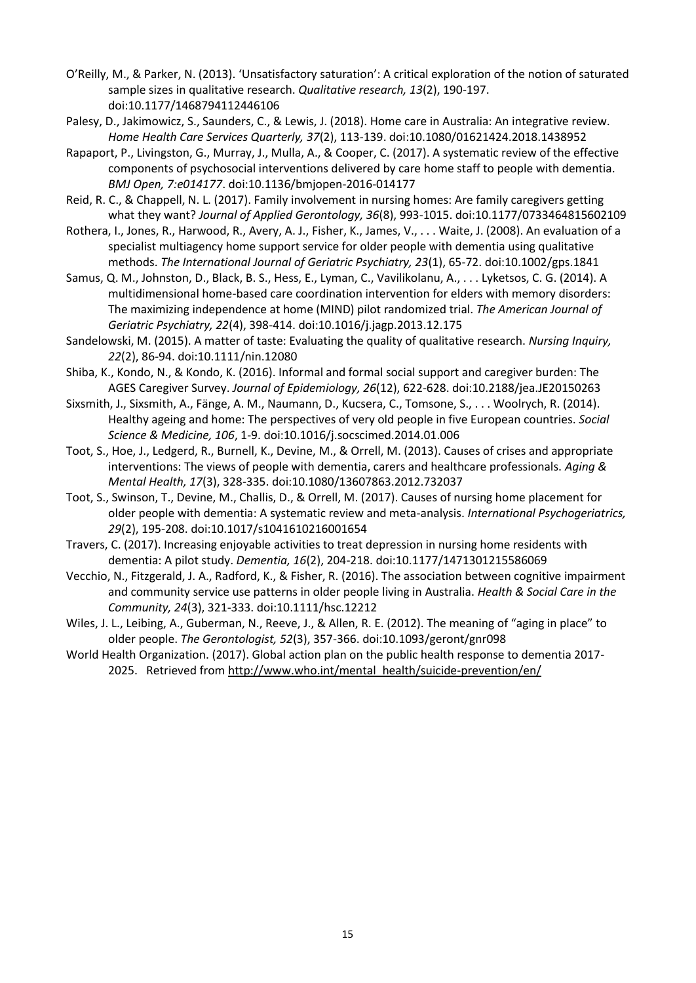- O'Reilly, M., & Parker, N. (2013). 'Unsatisfactory saturation': A critical exploration of the notion of saturated sample sizes in qualitative research. *Qualitative research, 13*(2), 190-197. doi:10.1177/1468794112446106
- Palesy, D., Jakimowicz, S., Saunders, C., & Lewis, J. (2018). Home care in Australia: An integrative review. *Home Health Care Services Quarterly, 37*(2), 113-139. doi:10.1080/01621424.2018.1438952
- Rapaport, P., Livingston, G., Murray, J., Mulla, A., & Cooper, C. (2017). A systematic review of the effective components of psychosocial interventions delivered by care home staff to people with dementia. *BMJ Open, 7:e014177*. doi:10.1136/bmjopen-2016-014177
- Reid, R. C., & Chappell, N. L. (2017). Family involvement in nursing homes: Are family caregivers getting what they want? *Journal of Applied Gerontology, 36*(8), 993-1015. doi:10.1177/0733464815602109
- Rothera, I., Jones, R., Harwood, R., Avery, A. J., Fisher, K., James, V., . . . Waite, J. (2008). An evaluation of a specialist multiagency home support service for older people with dementia using qualitative methods. *The International Journal of Geriatric Psychiatry, 23*(1), 65-72. doi:10.1002/gps.1841
- Samus, Q. M., Johnston, D., Black, B. S., Hess, E., Lyman, C., Vavilikolanu, A., . . . Lyketsos, C. G. (2014). A multidimensional home-based care coordination intervention for elders with memory disorders: The maximizing independence at home (MIND) pilot randomized trial. *The American Journal of Geriatric Psychiatry, 22*(4), 398-414. doi:10.1016/j.jagp.2013.12.175
- Sandelowski, M. (2015). A matter of taste: Evaluating the quality of qualitative research. *Nursing Inquiry, 22*(2), 86-94. doi:10.1111/nin.12080
- Shiba, K., Kondo, N., & Kondo, K. (2016). Informal and formal social support and caregiver burden: The AGES Caregiver Survey. *Journal of Epidemiology, 26*(12), 622-628. doi:10.2188/jea.JE20150263
- Sixsmith, J., Sixsmith, A., Fänge, A. M., Naumann, D., Kucsera, C., Tomsone, S., . . . Woolrych, R. (2014). Healthy ageing and home: The perspectives of very old people in five European countries. *Social Science & Medicine, 106*, 1-9. doi:10.1016/j.socscimed.2014.01.006
- Toot, S., Hoe, J., Ledgerd, R., Burnell, K., Devine, M., & Orrell, M. (2013). Causes of crises and appropriate interventions: The views of people with dementia, carers and healthcare professionals. *Aging & Mental Health, 17*(3), 328-335. doi:10.1080/13607863.2012.732037
- Toot, S., Swinson, T., Devine, M., Challis, D., & Orrell, M. (2017). Causes of nursing home placement for older people with dementia: A systematic review and meta-analysis. *International Psychogeriatrics, 29*(2), 195-208. doi:10.1017/s1041610216001654
- Travers, C. (2017). Increasing enjoyable activities to treat depression in nursing home residents with dementia: A pilot study. *Dementia, 16*(2), 204-218. doi:10.1177/1471301215586069
- Vecchio, N., Fitzgerald, J. A., Radford, K., & Fisher, R. (2016). The association between cognitive impairment and community service use patterns in older people living in Australia. *Health & Social Care in the Community, 24*(3), 321-333. doi:10.1111/hsc.12212
- Wiles, J. L., Leibing, A., Guberman, N., Reeve, J., & Allen, R. E. (2012). The meaning of "aging in place" to older people. *The Gerontologist, 52*(3), 357-366. doi:10.1093/geront/gnr098
- World Health Organization. (2017). Global action plan on the public health response to dementia 2017 2025. Retrieved from [http://www.who.int/mental\\_health/suicide-prevention/en/](http://www.who.int/mental_health/suicide-prevention/en/)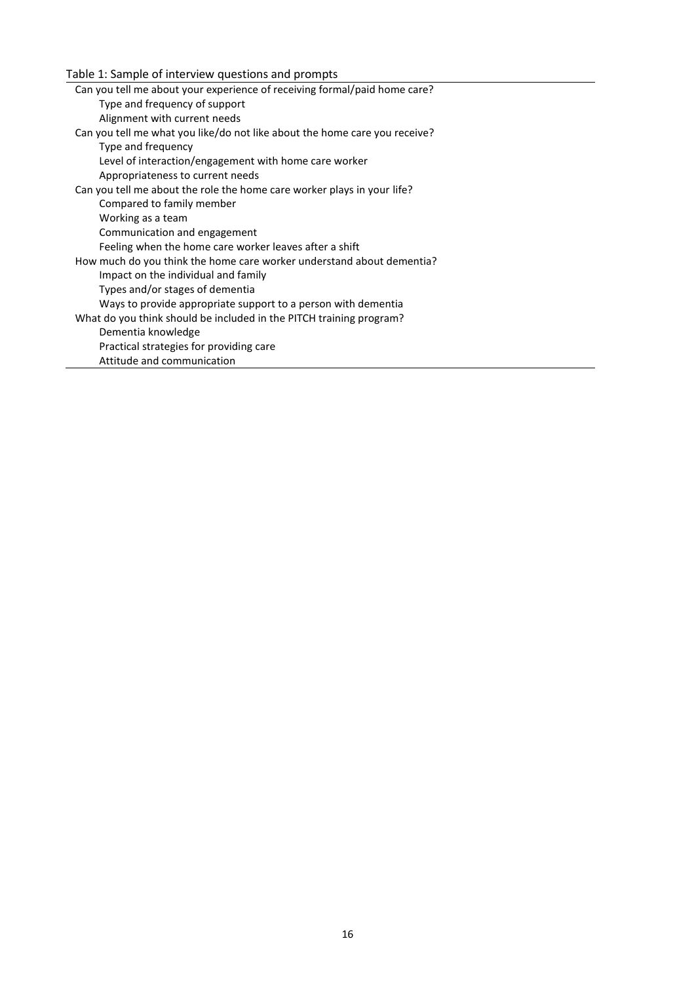Table 1: Sample of interview questions and prompts

| Can you tell me about your experience of receiving formal/paid home care?  |
|----------------------------------------------------------------------------|
| Type and frequency of support                                              |
| Alignment with current needs                                               |
| Can you tell me what you like/do not like about the home care you receive? |
| Type and frequency                                                         |
| Level of interaction/engagement with home care worker                      |
| Appropriateness to current needs                                           |
| Can you tell me about the role the home care worker plays in your life?    |
| Compared to family member                                                  |
| Working as a team                                                          |
| Communication and engagement                                               |
| Feeling when the home care worker leaves after a shift                     |
| How much do you think the home care worker understand about dementia?      |
| Impact on the individual and family                                        |
| Types and/or stages of dementia                                            |
| Ways to provide appropriate support to a person with dementia              |
| What do you think should be included in the PITCH training program?        |
| Dementia knowledge                                                         |
| Practical strategies for providing care                                    |
| Attitude and communication                                                 |